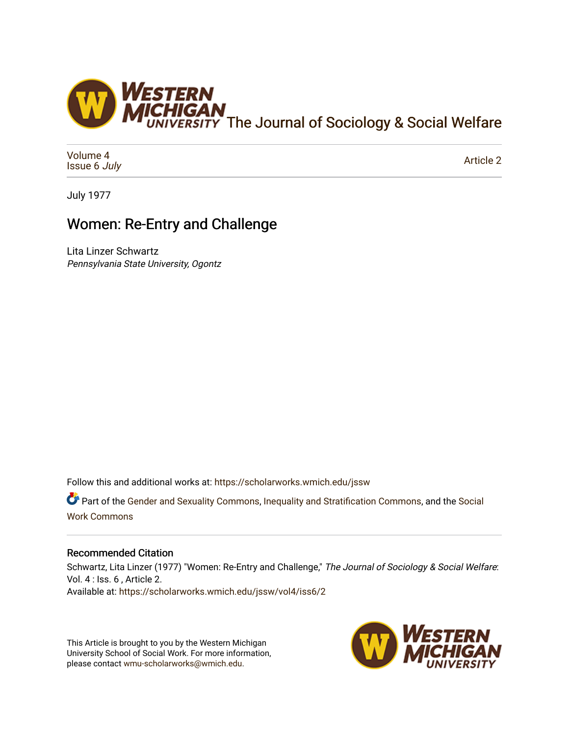

[Volume 4](https://scholarworks.wmich.edu/jssw/vol4) [Issue 6](https://scholarworks.wmich.edu/jssw/vol4/iss6) July

[Article 2](https://scholarworks.wmich.edu/jssw/vol4/iss6/2) 

July 1977

## Women: Re-Entry and Challenge

Lita Linzer Schwartz Pennsylvania State University, Ogontz

Follow this and additional works at: [https://scholarworks.wmich.edu/jssw](https://scholarworks.wmich.edu/jssw?utm_source=scholarworks.wmich.edu%2Fjssw%2Fvol4%2Fiss6%2F2&utm_medium=PDF&utm_campaign=PDFCoverPages) 

Part of the [Gender and Sexuality Commons](http://network.bepress.com/hgg/discipline/420?utm_source=scholarworks.wmich.edu%2Fjssw%2Fvol4%2Fiss6%2F2&utm_medium=PDF&utm_campaign=PDFCoverPages), [Inequality and Stratification Commons,](http://network.bepress.com/hgg/discipline/421?utm_source=scholarworks.wmich.edu%2Fjssw%2Fvol4%2Fiss6%2F2&utm_medium=PDF&utm_campaign=PDFCoverPages) and the Social [Work Commons](http://network.bepress.com/hgg/discipline/713?utm_source=scholarworks.wmich.edu%2Fjssw%2Fvol4%2Fiss6%2F2&utm_medium=PDF&utm_campaign=PDFCoverPages)

## Recommended Citation

Schwartz, Lita Linzer (1977) "Women: Re-Entry and Challenge," The Journal of Sociology & Social Welfare: Vol. 4 : Iss. 6 , Article 2. Available at: [https://scholarworks.wmich.edu/jssw/vol4/iss6/2](https://scholarworks.wmich.edu/jssw/vol4/iss6/2?utm_source=scholarworks.wmich.edu%2Fjssw%2Fvol4%2Fiss6%2F2&utm_medium=PDF&utm_campaign=PDFCoverPages) 

This Article is brought to you by the Western Michigan University School of Social Work. For more information, please contact [wmu-scholarworks@wmich.edu.](mailto:wmu-scholarworks@wmich.edu)

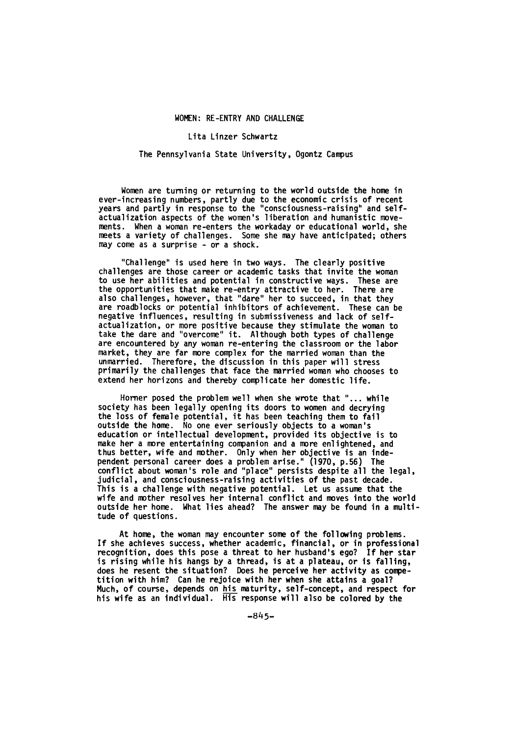Lita Linzer Schwartz

## The Pennsylvania State University, Ogontz Campus

Women are turning or returning to the world outside the home in ever-increasing numbers, partly due to the economic crisis of recent years and partly in response to the "consciousness-raising" and self-<br>actualization aspects of the women's liberation and humanistic movements. When a woman re-enters the workaday or educational world, she meets a variety of challenges. Some she may have anticipated; others may come as a surprise - or a shock.

"Challenge" is used here in two ways. The clearly positive challenges are those career or academic tasks that invite the woman challenges are those career or academic tasks that invite the woman<br>to use her abilities and potential in constructive ways. These are the opportunities that make re-entry attractive to her. There are<br>also challenges, however, that "dare" her to succeed, in that they are roadblocks or potential inhibitors of achievement. These can be negative influences, resulting in submissiveness and lack of selfactualization, or more positive because they stimulate the woman to take the dare and "overcome" it. Although both types of challenge are encountered by any woman re-entering the classroom or the labor market, they are far more complex for the married woman than the unmarried. Therefore, the discussion in this paper will stress primarily the challenges that face the married woman who chooses to extend her horizons and thereby complicate her domestic life.

Homer posed the problem well when she wrote that "... while society has been legally opening its doors to women and decrying the loss of female potential, it has been teaching them to fail outside the home. No one ever seriously objects to a woman's education or intellectual development, provided its objective is to make her a more entertaining companion and a more enlightened, and thus better, wife and mother. Only when her objective is an independent personal career does a problem arise." **(1970,** p.56) The conflict about woman's role and "place" persists despite all the legal, judicial, and consciousness-raising activities of the past decade. This is a challenge with negative potential. Let us assume that the wife and mother resolves her internal conflict and moves into the world outside her home. What lies ahead? The answer may be found in a multitude of questions.

At home, the woman may encounter some of the following problems. If she achieves success, whether academic, financial, or in professional recognition, does this pose a threat to her husband's ego? If her star is rising while his hangs by a thread, is at a plateau, or is falling, does he resent the situation? Does he perceive her activity as competition with him? Can he rejoice with her when she attains a goal? Much, of course, depends on his maturity, self-concept, and respect for his wife as an individual. His response will also be colored by the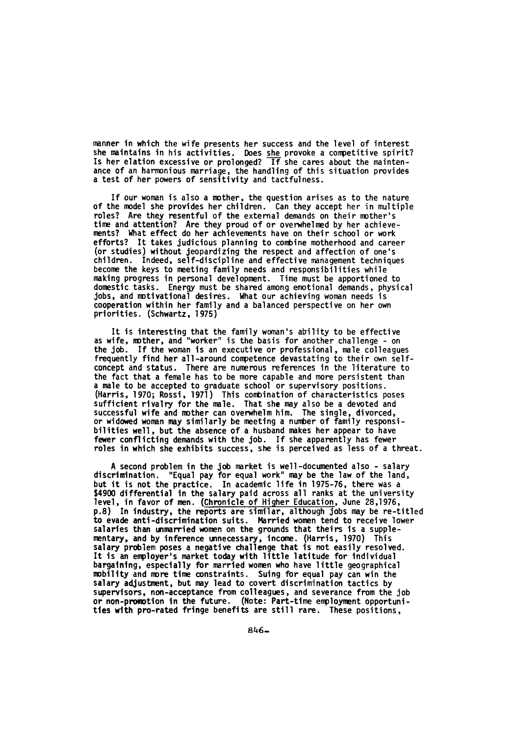manner in which the wife presents her success and the level of interest she maintains in his activities. Does she provoke a competitive spirit? Is her elation excessive or prolonged?  $\overline{\phantom{a}1f}$  she cares about the maintenance of an harmonious marriage, the handling of this situation provides a test of her powers of sensitivity and tactfulness.

If our woman is also a mother, the question arises as to the nature of the model she provides her children. Can they accept her in multiple roles? Are they resentful of the external demands on their mother's time and attention? Are they proud of or overwhelmed by her achievements? What effect do her achievements have on their school or work efforts? It takes judicious planning to combine motherhood and career (or studies) without jeopardizing the respect and affection of one's children. Indeed, self-discipline and effective management techniques become the keys to meeting family needs and responsibilities while making progress in personal development. Time must be apportioned to domestic tasks. Energy must be shared among emotional demands, physical jobs, and motivational desires. What our achieving woman needs is cooperation within her family and a balanced perspective on her own priorities. (Schwartz, 1975)

It is interesting that the family woman's ability to be effective as wife, mother, and "worker" is the basis for another challenge - on the job. If the woman is an executive or professional, male colleagues frequently find her all-around competence devastating to their own selfconcept and status. There are numerous references in the literature to the fact that a female has to be more capable and more persistent than a male to be accepted to graduate school or supervisory positions. (Harris, 1970; Rossi, 1971) This combination of characteristics poses sufficient rivalry for the male. That she may also be a devoted and successful wife and mother can overwhelm him. The single, divorced, or widowed woman may similarly be meeting a number of family responsibilities well, but the absence of a husband makes her appear to have fewer conflicting demands with the job. If she apparently has fewer roles in which she exhibits success, she is perceived as less of a threat.

A second problem in the job market is well-documented also - salary discrimination. "Equal pay for equal work" may be the law of the land, but it is not the practice. In academic life in 1975-76, there was a \$4900 differential in the salary paid across all ranks at the university level, in favor of men. (Chronicle of Higher Education, June 28,1976, **p.8)** In industry, the reports are similar, although jobs may be re-titled to evade anti-discrimination suits. Married women tend to receive lower salaries than unmarried women on the grounds that theirs is a supplementary, and by inference unnecessary, income. (Harris, 1970) This salary problem poses a negative challenge that is not easily resolved. It is an employer's market today with little latitude for Individual bargaining, especially for married women who have little geographical mobility and more time constraints. Suing for equal pay can win the salary adjustment, but may lead to covert discrimination tactics by supervisors, non-acceptance from colleagues, and severance from the job or non-promotion in the future. (Note: Part-time employment opportunities with pro-rated fringe benefits are still rare. These positions,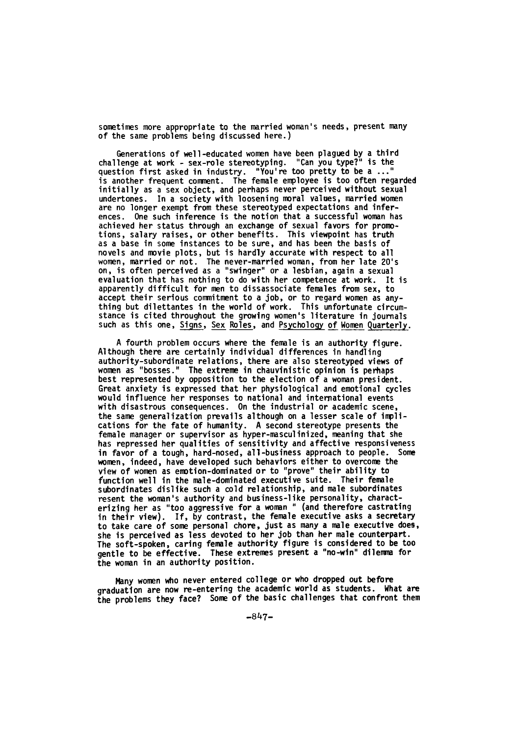sometimes more appropriate to the married woman's needs, present many of the same problems being discussed here.)

Generations of well-educated women have been plagued by a third challenge at work - sex-role stereotyping. "Can you type?" is the question first asked in industry. "You're too pretty to be a **..."** is another frequent comment. The female employee is too often regarded initially as a sex object, and perhaps never perceived without sexual undertones. In a society with loosening moral values, married women are no longer exempt from these stereotyped expectations and inferences. One such inference is the notion that a successful woman has achieved her status through an exchange of sexual favors for promotions, salary raises, or other benefits. This viewpoint has truth as a base in some instances to be sure, and has been the basis of novels and movie plots, but is hardly accurate with respect to all women, married or not. The never-married woman, from her late 20's on, is often perceived as a "swinger" or a lesbian, again a sexual evaluation that has nothing to do with her competence at work. It is apparently difficult for men to dissassociate females from sex, to accept their serious commitment to a job, or to regard women as anything but dilettantes in the world of work. This unfortunate circumstance is cited throughout the growing women's literature in journals such as this one, Signs, Sex Roles, and Psychology of Women Quarterly.

A fourth problem occurs where the female is an authority figure. Although there are certainly individual differences in handling authority-subordinate relations, there are also stereotyped views of women as "bosses." The extreme in chauvinistic opinion is perhaps best represented **by** opposition to the election of a woman president. Great anxiety is expressed that her physiological and emotional cycles would influence her responses to national and international events with disastrous consequences. On the industrial or academic scene, the same generalization prevails although on a lesser scale of implications for the fate of humanity. A second stereotype presents the female manager or supervisor as hyper-masculinized, meaning that she has repressed her qualities of sensitivity and affective responsiveness in favor of a tough, hard-nosed, all-business approach to people. Some women, indeed, have developed such behaviors either to overcome the view of women as emotion-dominated or to "prove" their ability to function well in the male-dominated executive suite. Their female subordinates dislike such a cold relationship, and male subordinates resent the woman's authority and business-like personality, characterizing her as "too aggressive for a woman **"** (and therefore castrating in their view). If, by contrast, the female executive asks a secretary to take care of some personal chore, just as many a male executive does, she is perceived as less devoted to her **job** than her male counterpart. The soft-spoken, caring female authority figure is considered to be too gentle to be effective. These extremes present a "no-win" dilemma for the woman in an authority position.

Many women who never entered college or who dropped out before graduation are now re-entering the academic world as students. What are the problems they face? Some of the basic challenges that confront them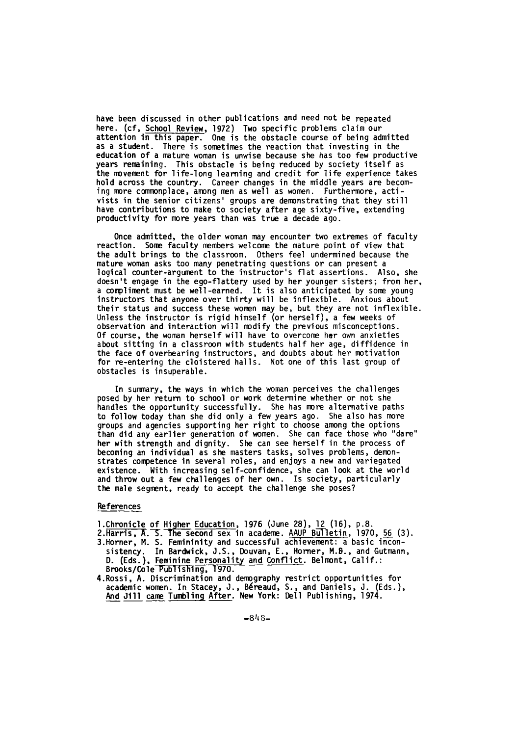have been discussed in other publications and need not be repeated here. (cf, School Review, 1972) Two specific problems claim our attention in this paper. One is the obstacle course of being admitted as a student. There is sometimes the reaction that investing in the education of a mature woman is unwise because she has too few productive years remaining. This obstacle is being reduced by society itself as the movement for life-long learning and credit for life experience takes hold across the country. Career changes in the middle years are becoming more commonplace, among men as well as women. Furthermore, activists in the senior citizens' groups are demonstrating that they still have contributions to make to society after age sixty-five, extending productivity for more years than was true a decade ago.

Once admitted, the older woman may encounter two extremes of faculty reaction. Some faculty members welcome the mature point of view that the adult brings to the classroom. Others feel undermined because the mature woman asks too many penetrating questions or can present a logical counter-argument to the instructor's flat assertions. Also, she doesn't engage in the ego-flattery used by her younger sisters; from her, a compliment must be well-earned. It is also anticipated by some young instructors that anyone over thirty will be inflexible. Anxious about their status and success these women may be, but they are not inflexible. Unless the instructor is rigid himself (or herself), a few weeks of observation and interaction will modify the previous misconceptions. Of course, the woman herself will have to overcome her own anxieties about sitting in a classroom with students half her age, diffidence in the face of overbearing instructors, and doubts about her motivation for re-entering the cloistered halls. Not one of this last group of obstacles is insuperable.

In summary, the ways in which the woman perceives the challenges posed by her return to school or work determine whether or not she handles the opportunity successfully. She has more alternative paths to follow today than she did only a few years ago. She also has more groups and agencies supporting her right to choose among the options than did any earlier generation of women. She can face those who "dare" her with strength and dignity. She can see herself in the process of becoming an individual as she masters tasks, solves problems, demonstrates competence in several roles, and enjoys a new and variegated existence. With increasing self-confidence, she can look at the world and throw out a few challenges of her own. Is society, particularly the male segment, ready to accept the challenge she poses?

## References

- l.Chronicle of Higher Education, 1976 (June 28), 12 (16), p.8.
- 2. Harris, A. S. The second sex in academe. AAUP Bulletin, 1970, 56 (3). 3.Horner, M. S. Femininity and successful achievement: a basic incon-
- sistency. In Bardwick, J.S., Douvan, E., Homer, M.B., and Gutmann, D. (Eds.), Feminine Personality and Conflict. Belmont, Calif.: Brooks/Cole Publi shing, **1970.**
- 4.Rossi, A. Discrimination and demography restrict opportunities for academic women. In Stacey, J., Béreaud, S., and Daniels, J. (Eds.), And Jill came Tumbling After. New York: Dell Publishing, 1974.